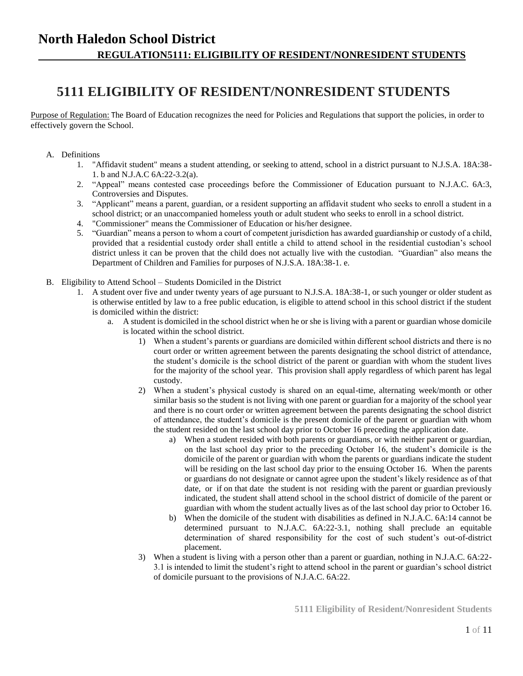## **North Haledon School District REGULATION5111: ELIGIBILITY OF RESIDENT/NONRESIDENT STUDENTS**

# **5111 ELIGIBILITY OF RESIDENT/NONRESIDENT STUDENTS**

Purpose of Regulation: The Board of Education recognizes the need for Policies and Regulations that support the policies, in order to effectively govern the School.

- A. Definitions
	- 1. "Affidavit student" means a student attending, or seeking to attend, school in a district pursuant to N.J.S.A. 18A:38- 1. b and N.J.A.C 6A:22-3.2(a).
	- 2. "Appeal" means contested case proceedings before the Commissioner of Education pursuant to N.J.A.C. 6A:3, Controversies and Disputes.
	- 3. "Applicant" means a parent, guardian, or a resident supporting an affidavit student who seeks to enroll a student in a school district; or an unaccompanied homeless youth or adult student who seeks to enroll in a school district.
	- 4. "Commissioner" means the Commissioner of Education or his/her designee.
	- 5. "Guardian" means a person to whom a court of competent jurisdiction has awarded guardianship or custody of a child, provided that a residential custody order shall entitle a child to attend school in the residential custodian's school district unless it can be proven that the child does not actually live with the custodian. "Guardian" also means the Department of Children and Families for purposes of N.J.S.A. 18A:38-1. e.
- B. Eligibility to Attend School Students Domiciled in the District
	- 1. A student over five and under twenty years of age pursuant to N.J.S.A. 18A:38-1, or such younger or older student as is otherwise entitled by law to a free public education, is eligible to attend school in this school district if the student is domiciled within the district:
		- a. A student is domiciled in the school district when he or she is living with a parent or guardian whose domicile is located within the school district.
			- 1) When a student's parents or guardians are domiciled within different school districts and there is no court order or written agreement between the parents designating the school district of attendance, the student's domicile is the school district of the parent or guardian with whom the student lives for the majority of the school year. This provision shall apply regardless of which parent has legal custody.
			- 2) When a student's physical custody is shared on an equal-time, alternating week/month or other similar basis so the student is not living with one parent or guardian for a majority of the school year and there is no court order or written agreement between the parents designating the school district of attendance, the student's domicile is the present domicile of the parent or guardian with whom the student resided on the last school day prior to October 16 preceding the application date.
				- a) When a student resided with both parents or guardians, or with neither parent or guardian, on the last school day prior to the preceding October 16, the student's domicile is the domicile of the parent or guardian with whom the parents or guardians indicate the student will be residing on the last school day prior to the ensuing October 16. When the parents or guardians do not designate or cannot agree upon the student's likely residence as of that date, or if on that date the student is not residing with the parent or guardian previously indicated, the student shall attend school in the school district of domicile of the parent or guardian with whom the student actually lives as of the last school day prior to October 16.
				- b) When the domicile of the student with disabilities as defined in N.J.A.C. 6A:14 cannot be determined pursuant to N.J.A.C. 6A:22-3.1, nothing shall preclude an equitable determination of shared responsibility for the cost of such student's out-of-district placement.
			- 3) When a student is living with a person other than a parent or guardian, nothing in N.J.A.C. 6A:22- 3.1 is intended to limit the student's right to attend school in the parent or guardian's school district of domicile pursuant to the provisions of N.J.A.C. 6A:22.

**5111 Eligibility of Resident/Nonresident Students**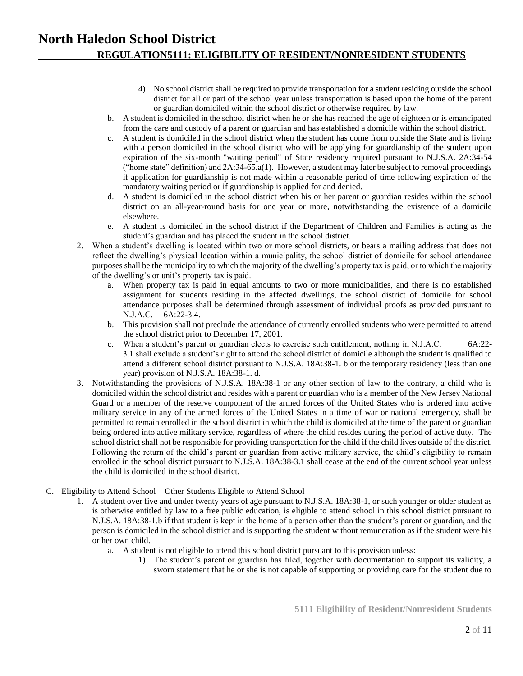### **North Haledon School District REGULATION5111: ELIGIBILITY OF RESIDENT/NONRESIDENT STUDENTS**

- 4) No school district shall be required to provide transportation for a student residing outside the school district for all or part of the school year unless transportation is based upon the home of the parent or guardian domiciled within the school district or otherwise required by law.
- b. A student is domiciled in the school district when he or she has reached the age of eighteen or is emancipated from the care and custody of a parent or guardian and has established a domicile within the school district.
- c. A student is domiciled in the school district when the student has come from outside the State and is living with a person domiciled in the school district who will be applying for guardianship of the student upon expiration of the six-month "waiting period" of State residency required pursuant to N.J.S.A. 2A:34-54 ("home state" definition) and 2A:34-65.a(1). However, a student may later be subject to removal proceedings if application for guardianship is not made within a reasonable period of time following expiration of the mandatory waiting period or if guardianship is applied for and denied.
- d. A student is domiciled in the school district when his or her parent or guardian resides within the school district on an all-year-round basis for one year or more, notwithstanding the existence of a domicile elsewhere.
- e. A student is domiciled in the school district if the Department of Children and Families is acting as the student's guardian and has placed the student in the school district.
- 2. When a student's dwelling is located within two or more school districts, or bears a mailing address that does not reflect the dwelling's physical location within a municipality, the school district of domicile for school attendance purposes shall be the municipality to which the majority of the dwelling's property tax is paid, or to which the majority of the dwelling's or unit's property tax is paid.
	- a. When property tax is paid in equal amounts to two or more municipalities, and there is no established assignment for students residing in the affected dwellings, the school district of domicile for school attendance purposes shall be determined through assessment of individual proofs as provided pursuant to N.J.A.C. 6A:22-3.4.
	- b. This provision shall not preclude the attendance of currently enrolled students who were permitted to attend the school district prior to December 17, 2001.
	- c. When a student's parent or guardian elects to exercise such entitlement, nothing in N.J.A.C. 6A:22- 3.1 shall exclude a student's right to attend the school district of domicile although the student is qualified to attend a different school district pursuant to N.J.S.A. 18A:38-1. b or the temporary residency (less than one year) provision of N.J.S.A. 18A:38-1. d.
- 3. Notwithstanding the provisions of N.J.S.A. 18A:38-1 or any other section of law to the contrary, a child who is domiciled within the school district and resides with a parent or guardian who is a member of the New Jersey National Guard or a member of the reserve component of the armed forces of the United States who is ordered into active military service in any of the armed forces of the United States in a time of war or national emergency, shall be permitted to remain enrolled in the school district in which the child is domiciled at the time of the parent or guardian being ordered into active military service, regardless of where the child resides during the period of active duty. The school district shall not be responsible for providing transportation for the child if the child lives outside of the district. Following the return of the child's parent or guardian from active military service, the child's eligibility to remain enrolled in the school district pursuant to N.J.S.A. 18A:38-3.1 shall cease at the end of the current school year unless the child is domiciled in the school district.
- C. Eligibility to Attend School Other Students Eligible to Attend School
	- 1. A student over five and under twenty years of age pursuant to N.J.S.A. 18A:38-1, or such younger or older student as is otherwise entitled by law to a free public education, is eligible to attend school in this school district pursuant to N.J.S.A. 18A:38-1.b if that student is kept in the home of a person other than the student's parent or guardian, and the person is domiciled in the school district and is supporting the student without remuneration as if the student were his or her own child.
		- a. A student is not eligible to attend this school district pursuant to this provision unless:
			- 1) The student's parent or guardian has filed, together with documentation to support its validity, a sworn statement that he or she is not capable of supporting or providing care for the student due to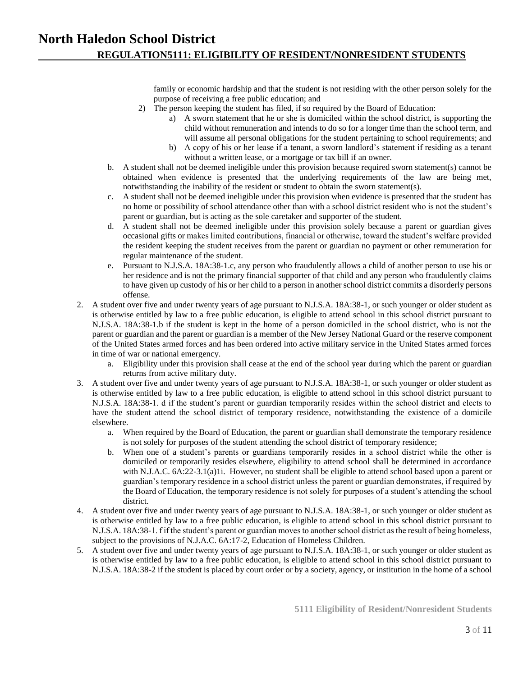family or economic hardship and that the student is not residing with the other person solely for the purpose of receiving a free public education; and

- 2) The person keeping the student has filed, if so required by the Board of Education:
	- a) A sworn statement that he or she is domiciled within the school district, is supporting the child without remuneration and intends to do so for a longer time than the school term, and will assume all personal obligations for the student pertaining to school requirements; and
	- b) A copy of his or her lease if a tenant, a sworn landlord's statement if residing as a tenant without a written lease, or a mortgage or tax bill if an owner.
- b. A student shall not be deemed ineligible under this provision because required sworn statement(s) cannot be obtained when evidence is presented that the underlying requirements of the law are being met, notwithstanding the inability of the resident or student to obtain the sworn statement(s).
- c. A student shall not be deemed ineligible under this provision when evidence is presented that the student has no home or possibility of school attendance other than with a school district resident who is not the student's parent or guardian, but is acting as the sole caretaker and supporter of the student.
- d. A student shall not be deemed ineligible under this provision solely because a parent or guardian gives occasional gifts or makes limited contributions, financial or otherwise, toward the student's welfare provided the resident keeping the student receives from the parent or guardian no payment or other remuneration for regular maintenance of the student.
- e. Pursuant to N.J.S.A. 18A:38-1.c, any person who fraudulently allows a child of another person to use his or her residence and is not the primary financial supporter of that child and any person who fraudulently claims to have given up custody of his or her child to a person in another school district commits a disorderly persons offense.
- 2. A student over five and under twenty years of age pursuant to N.J.S.A. 18A:38-1, or such younger or older student as is otherwise entitled by law to a free public education, is eligible to attend school in this school district pursuant to N.J.S.A. 18A:38-1.b if the student is kept in the home of a person domiciled in the school district, who is not the parent or guardian and the parent or guardian is a member of the New Jersey National Guard or the reserve component of the United States armed forces and has been ordered into active military service in the United States armed forces in time of war or national emergency.
	- a. Eligibility under this provision shall cease at the end of the school year during which the parent or guardian returns from active military duty.
- 3. A student over five and under twenty years of age pursuant to N.J.S.A. 18A:38-1, or such younger or older student as is otherwise entitled by law to a free public education, is eligible to attend school in this school district pursuant to N.J.S.A. 18A:38-1. d if the student's parent or guardian temporarily resides within the school district and elects to have the student attend the school district of temporary residence, notwithstanding the existence of a domicile elsewhere.
	- a. When required by the Board of Education, the parent or guardian shall demonstrate the temporary residence is not solely for purposes of the student attending the school district of temporary residence;
	- b. When one of a student's parents or guardians temporarily resides in a school district while the other is domiciled or temporarily resides elsewhere, eligibility to attend school shall be determined in accordance with N.J.A.C. 6A:22-3.1(a)1i. However, no student shall be eligible to attend school based upon a parent or guardian's temporary residence in a school district unless the parent or guardian demonstrates, if required by the Board of Education, the temporary residence is not solely for purposes of a student's attending the school district.
- 4. A student over five and under twenty years of age pursuant to N.J.S.A. 18A:38-1, or such younger or older student as is otherwise entitled by law to a free public education, is eligible to attend school in this school district pursuant to N.J.S.A. 18A:38-1. f if the student's parent or guardian moves to another school district as the result of being homeless, subject to the provisions of N.J.A.C. 6A:17-2, Education of Homeless Children.
- 5. A student over five and under twenty years of age pursuant to N.J.S.A. 18A:38-1, or such younger or older student as is otherwise entitled by law to a free public education, is eligible to attend school in this school district pursuant to N.J.S.A. 18A:38-2 if the student is placed by court order or by a society, agency, or institution in the home of a school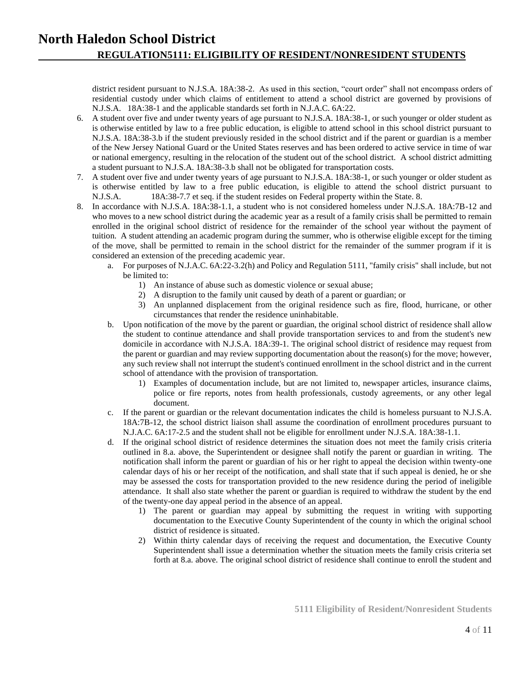district resident pursuant to N.J.S.A. 18A:38-2. As used in this section, "court order" shall not encompass orders of residential custody under which claims of entitlement to attend a school district are governed by provisions of N.J.S.A. 18A:38-1 and the applicable standards set forth in N.J.A.C. 6A:22.

- 6. A student over five and under twenty years of age pursuant to N.J.S.A. 18A:38-1, or such younger or older student as is otherwise entitled by law to a free public education, is eligible to attend school in this school district pursuant to N.J.S.A. 18A:38-3.b if the student previously resided in the school district and if the parent or guardian is a member of the New Jersey National Guard or the United States reserves and has been ordered to active service in time of war or national emergency, resulting in the relocation of the student out of the school district. A school district admitting a student pursuant to N.J.S.A. 18A:38-3.b shall not be obligated for transportation costs.
- 7. A student over five and under twenty years of age pursuant to N.J.S.A. 18A:38-1, or such younger or older student as is otherwise entitled by law to a free public education, is eligible to attend the school district pursuant to N.J.S.A. 18A:38-7.7 et seq. if the student resides on Federal property within the State. 8.
- 8. In accordance with N.J.S.A. 18A:38-1.1, a student who is not considered homeless under N.J.S.A. 18A:7B-12 and who moves to a new school district during the academic year as a result of a family crisis shall be permitted to remain enrolled in the original school district of residence for the remainder of the school year without the payment of tuition. A student attending an academic program during the summer, who is otherwise eligible except for the timing of the move, shall be permitted to remain in the school district for the remainder of the summer program if it is considered an extension of the preceding academic year.
	- a. For purposes of N.J.A.C. 6A:22-3.2(h) and Policy and Regulation 5111, "family crisis" shall include, but not be limited to:
		- 1) An instance of abuse such as domestic violence or sexual abuse;
		- 2) A disruption to the family unit caused by death of a parent or guardian; or
		- 3) An unplanned displacement from the original residence such as fire, flood, hurricane, or other circumstances that render the residence uninhabitable.
	- b. Upon notification of the move by the parent or guardian, the original school district of residence shall allow the student to continue attendance and shall provide transportation services to and from the student's new domicile in accordance with N.J.S.A. 18A:39-1. The original school district of residence may request from the parent or guardian and may review supporting documentation about the reason(s) for the move; however, any such review shall not interrupt the student's continued enrollment in the school district and in the current school of attendance with the provision of transportation.
		- 1) Examples of documentation include, but are not limited to, newspaper articles, insurance claims, police or fire reports, notes from health professionals, custody agreements, or any other legal document.
	- c. If the parent or guardian or the relevant documentation indicates the child is homeless pursuant to N.J.S.A. 18A:7B-12, the school district liaison shall assume the coordination of enrollment procedures pursuant to N.J.A.C. 6A:17-2.5 and the student shall not be eligible for enrollment under N.J.S.A. 18A:38-1.1.
	- d. If the original school district of residence determines the situation does not meet the family crisis criteria outlined in 8.a. above, the Superintendent or designee shall notify the parent or guardian in writing. The notification shall inform the parent or guardian of his or her right to appeal the decision within twenty-one calendar days of his or her receipt of the notification, and shall state that if such appeal is denied, he or she may be assessed the costs for transportation provided to the new residence during the period of ineligible attendance. It shall also state whether the parent or guardian is required to withdraw the student by the end of the twenty-one day appeal period in the absence of an appeal.
		- 1) The parent or guardian may appeal by submitting the request in writing with supporting documentation to the Executive County Superintendent of the county in which the original school district of residence is situated.
		- 2) Within thirty calendar days of receiving the request and documentation, the Executive County Superintendent shall issue a determination whether the situation meets the family crisis criteria set forth at 8.a. above. The original school district of residence shall continue to enroll the student and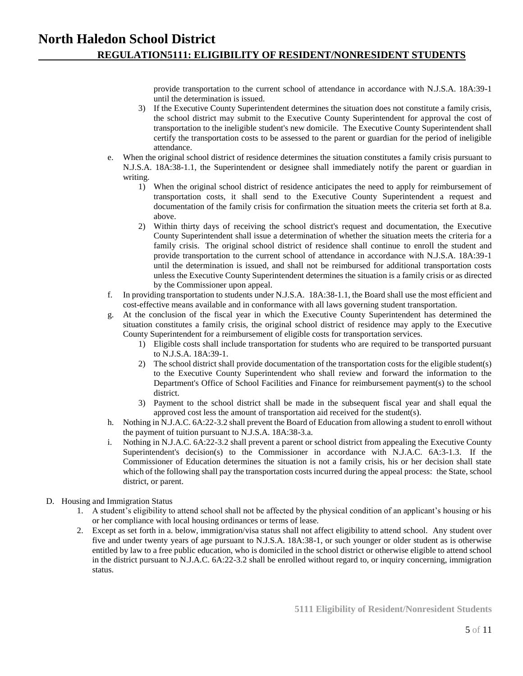provide transportation to the current school of attendance in accordance with N.J.S.A. 18A:39-1 until the determination is issued.

- 3) If the Executive County Superintendent determines the situation does not constitute a family crisis, the school district may submit to the Executive County Superintendent for approval the cost of transportation to the ineligible student's new domicile. The Executive County Superintendent shall certify the transportation costs to be assessed to the parent or guardian for the period of ineligible attendance.
- e. When the original school district of residence determines the situation constitutes a family crisis pursuant to N.J.S.A. 18A:38-1.1, the Superintendent or designee shall immediately notify the parent or guardian in writing.
	- 1) When the original school district of residence anticipates the need to apply for reimbursement of transportation costs, it shall send to the Executive County Superintendent a request and documentation of the family crisis for confirmation the situation meets the criteria set forth at 8.a. above.
	- 2) Within thirty days of receiving the school district's request and documentation, the Executive County Superintendent shall issue a determination of whether the situation meets the criteria for a family crisis. The original school district of residence shall continue to enroll the student and provide transportation to the current school of attendance in accordance with N.J.S.A. 18A:39-1 until the determination is issued, and shall not be reimbursed for additional transportation costs unless the Executive County Superintendent determines the situation is a family crisis or as directed by the Commissioner upon appeal.
- f. In providing transportation to students under N.J.S.A. 18A:38-1.1, the Board shall use the most efficient and cost-effective means available and in conformance with all laws governing student transportation.
- g. At the conclusion of the fiscal year in which the Executive County Superintendent has determined the situation constitutes a family crisis, the original school district of residence may apply to the Executive County Superintendent for a reimbursement of eligible costs for transportation services.
	- 1) Eligible costs shall include transportation for students who are required to be transported pursuant to N.J.S.A. 18A:39-1.
	- 2) The school district shall provide documentation of the transportation costs for the eligible student(s) to the Executive County Superintendent who shall review and forward the information to the Department's Office of School Facilities and Finance for reimbursement payment(s) to the school district.
	- 3) Payment to the school district shall be made in the subsequent fiscal year and shall equal the approved cost less the amount of transportation aid received for the student(s).
- h. Nothing in N.J.A.C. 6A:22-3.2 shall prevent the Board of Education from allowing a student to enroll without the payment of tuition pursuant to N.J.S.A. 18A:38-3.a.
- i. Nothing in N.J.A.C. 6A:22-3.2 shall prevent a parent or school district from appealing the Executive County Superintendent's decision(s) to the Commissioner in accordance with N.J.A.C. 6A:3-1.3. If the Commissioner of Education determines the situation is not a family crisis, his or her decision shall state which of the following shall pay the transportation costs incurred during the appeal process: the State, school district, or parent.

#### D. Housing and Immigration Status

- 1. A student's eligibility to attend school shall not be affected by the physical condition of an applicant's housing or his or her compliance with local housing ordinances or terms of lease.
- 2. Except as set forth in a. below, immigration/visa status shall not affect eligibility to attend school. Any student over five and under twenty years of age pursuant to N.J.S.A. 18A:38-1, or such younger or older student as is otherwise entitled by law to a free public education, who is domiciled in the school district or otherwise eligible to attend school in the district pursuant to N.J.A.C. 6A:22-3.2 shall be enrolled without regard to, or inquiry concerning, immigration status.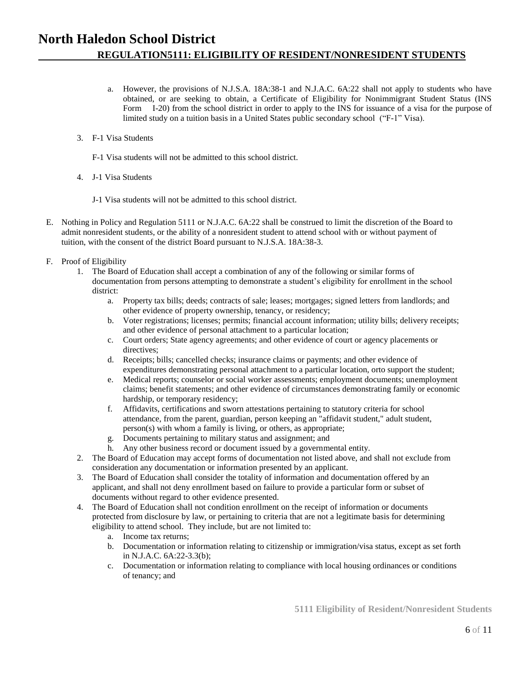### **North Haledon School District REGULATION5111: ELIGIBILITY OF RESIDENT/NONRESIDENT STUDENTS**

- a. However, the provisions of N.J.S.A. 18A:38-1 and N.J.A.C. 6A:22 shall not apply to students who have obtained, or are seeking to obtain, a Certificate of Eligibility for Nonimmigrant Student Status (INS Form I-20) from the school district in order to apply to the INS for issuance of a visa for the purpose of limited study on a tuition basis in a United States public secondary school ("F-1" Visa).
- 3. F-1 Visa Students
	- F-1 Visa students will not be admitted to this school district.
- 4. J-1 Visa Students
	- J-1 Visa students will not be admitted to this school district.
- E. Nothing in Policy and Regulation 5111 or N.J.A.C. 6A:22 shall be construed to limit the discretion of the Board to admit nonresident students, or the ability of a nonresident student to attend school with or without payment of tuition, with the consent of the district Board pursuant to N.J.S.A. 18A:38-3.
- F. Proof of Eligibility
	- 1. The Board of Education shall accept a combination of any of the following or similar forms of documentation from persons attempting to demonstrate a student's eligibility for enrollment in the school district:
		- a. Property tax bills; deeds; contracts of sale; leases; mortgages; signed letters from landlords; and other evidence of property ownership, tenancy, or residency;
		- b. Voter registrations; licenses; permits; financial account information; utility bills; delivery receipts; and other evidence of personal attachment to a particular location;
		- c. Court orders; State agency agreements; and other evidence of court or agency placements or directives:
		- d. Receipts; bills; cancelled checks; insurance claims or payments; and other evidence of expenditures demonstrating personal attachment to a particular location, orto support the student;
		- e. Medical reports; counselor or social worker assessments; employment documents; unemployment claims; benefit statements; and other evidence of circumstances demonstrating family or economic hardship, or temporary residency;
		- f. Affidavits, certifications and sworn attestations pertaining to statutory criteria for school attendance, from the parent, guardian, person keeping an "affidavit student," adult student, person(s) with whom a family is living, or others, as appropriate;
		- g. Documents pertaining to military status and assignment; and
		- h. Any other business record or document issued by a governmental entity.
	- 2. The Board of Education may accept forms of documentation not listed above, and shall not exclude from consideration any documentation or information presented by an applicant.
	- 3. The Board of Education shall consider the totality of information and documentation offered by an applicant, and shall not deny enrollment based on failure to provide a particular form or subset of documents without regard to other evidence presented.
	- 4. The Board of Education shall not condition enrollment on the receipt of information or documents protected from disclosure by law, or pertaining to criteria that are not a legitimate basis for determining eligibility to attend school. They include, but are not limited to:
		- a. Income tax returns;
		- b. Documentation or information relating to citizenship or immigration/visa status, except as set forth in N.J.A.C. 6A:22-3.3(b);
		- c. Documentation or information relating to compliance with local housing ordinances or conditions of tenancy; and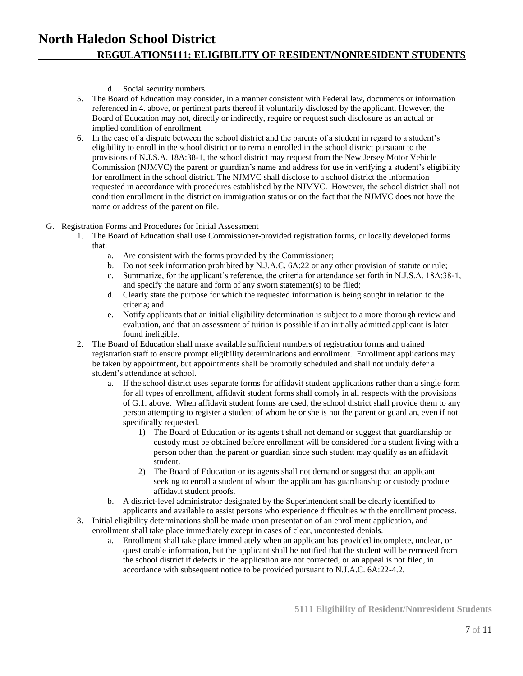- d. Social security numbers.
- 5. The Board of Education may consider, in a manner consistent with Federal law, documents or information referenced in 4. above, or pertinent parts thereof if voluntarily disclosed by the applicant. However, the Board of Education may not, directly or indirectly, require or request such disclosure as an actual or implied condition of enrollment.
- 6. In the case of a dispute between the school district and the parents of a student in regard to a student's eligibility to enroll in the school district or to remain enrolled in the school district pursuant to the provisions of N.J.S.A. 18A:38-1, the school district may request from the New Jersey Motor Vehicle Commission (NJMVC) the parent or guardian's name and address for use in verifying a student's eligibility for enrollment in the school district. The NJMVC shall disclose to a school district the information requested in accordance with procedures established by the NJMVC. However, the school district shall not condition enrollment in the district on immigration status or on the fact that the NJMVC does not have the name or address of the parent on file.
- G. Registration Forms and Procedures for Initial Assessment
	- 1. The Board of Education shall use Commissioner-provided registration forms, or locally developed forms that:
		- a. Are consistent with the forms provided by the Commissioner;
		- b. Do not seek information prohibited by N.J.A.C. 6A:22 or any other provision of statute or rule;
		- c. Summarize, for the applicant's reference, the criteria for attendance set forth in N.J.S.A. 18A:38-1, and specify the nature and form of any sworn statement(s) to be filed;
		- d. Clearly state the purpose for which the requested information is being sought in relation to the criteria; and
		- e. Notify applicants that an initial eligibility determination is subject to a more thorough review and evaluation, and that an assessment of tuition is possible if an initially admitted applicant is later found ineligible.
	- 2. The Board of Education shall make available sufficient numbers of registration forms and trained registration staff to ensure prompt eligibility determinations and enrollment. Enrollment applications may be taken by appointment, but appointments shall be promptly scheduled and shall not unduly defer a student's attendance at school.
		- a. If the school district uses separate forms for affidavit student applications rather than a single form for all types of enrollment, affidavit student forms shall comply in all respects with the provisions of G.1. above. When affidavit student forms are used, the school district shall provide them to any person attempting to register a student of whom he or she is not the parent or guardian, even if not specifically requested.
			- 1) The Board of Education or its agents t shall not demand or suggest that guardianship or custody must be obtained before enrollment will be considered for a student living with a person other than the parent or guardian since such student may qualify as an affidavit student.
			- 2) The Board of Education or its agents shall not demand or suggest that an applicant seeking to enroll a student of whom the applicant has guardianship or custody produce affidavit student proofs.
		- b. A district-level administrator designated by the Superintendent shall be clearly identified to applicants and available to assist persons who experience difficulties with the enrollment process.
	- 3. Initial eligibility determinations shall be made upon presentation of an enrollment application, and enrollment shall take place immediately except in cases of clear, uncontested denials.
		- a. Enrollment shall take place immediately when an applicant has provided incomplete, unclear, or questionable information, but the applicant shall be notified that the student will be removed from the school district if defects in the application are not corrected, or an appeal is not filed, in accordance with subsequent notice to be provided pursuant to N.J.A.C. 6A:22-4.2.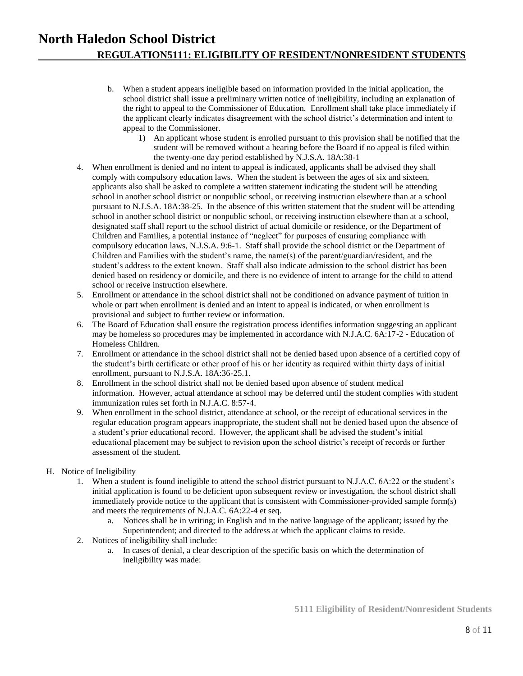- b. When a student appears ineligible based on information provided in the initial application, the school district shall issue a preliminary written notice of ineligibility, including an explanation of the right to appeal to the Commissioner of Education. Enrollment shall take place immediately if the applicant clearly indicates disagreement with the school district's determination and intent to appeal to the Commissioner.
	- 1) An applicant whose student is enrolled pursuant to this provision shall be notified that the student will be removed without a hearing before the Board if no appeal is filed within the twenty-one day period established by N.J.S.A. 18A:38-1
- 4. When enrollment is denied and no intent to appeal is indicated, applicants shall be advised they shall comply with compulsory education laws. When the student is between the ages of six and sixteen, applicants also shall be asked to complete a written statement indicating the student will be attending school in another school district or nonpublic school, or receiving instruction elsewhere than at a school pursuant to N.J.S.A. 18A:38-25. In the absence of this written statement that the student will be attending school in another school district or nonpublic school, or receiving instruction elsewhere than at a school, designated staff shall report to the school district of actual domicile or residence, or the Department of Children and Families, a potential instance of "neglect" for purposes of ensuring compliance with compulsory education laws, N.J.S.A. 9:6-1. Staff shall provide the school district or the Department of Children and Families with the student's name, the name(s) of the parent/guardian/resident, and the student's address to the extent known. Staff shall also indicate admission to the school district has been denied based on residency or domicile, and there is no evidence of intent to arrange for the child to attend school or receive instruction elsewhere.
- 5. Enrollment or attendance in the school district shall not be conditioned on advance payment of tuition in whole or part when enrollment is denied and an intent to appeal is indicated, or when enrollment is provisional and subject to further review or information.
- 6. The Board of Education shall ensure the registration process identifies information suggesting an applicant may be homeless so procedures may be implemented in accordance with N.J.A.C. 6A:17-2 - Education of Homeless Children.
- 7. Enrollment or attendance in the school district shall not be denied based upon absence of a certified copy of the student's birth certificate or other proof of his or her identity as required within thirty days of initial enrollment, pursuant to N.J.S.A. 18A:36-25.1.
- 8. Enrollment in the school district shall not be denied based upon absence of student medical information. However, actual attendance at school may be deferred until the student complies with student immunization rules set forth in N.J.A.C. 8:57-4.
- 9. When enrollment in the school district, attendance at school, or the receipt of educational services in the regular education program appears inappropriate, the student shall not be denied based upon the absence of a student's prior educational record. However, the applicant shall be advised the student's initial educational placement may be subject to revision upon the school district's receipt of records or further assessment of the student.

#### H. Notice of Ineligibility

- 1. When a student is found ineligible to attend the school district pursuant to N.J.A.C. 6A:22 or the student's initial application is found to be deficient upon subsequent review or investigation, the school district shall immediately provide notice to the applicant that is consistent with Commissioner-provided sample form(s) and meets the requirements of N.J.A.C. 6A:22-4 et seq.
	- a. Notices shall be in writing; in English and in the native language of the applicant; issued by the Superintendent; and directed to the address at which the applicant claims to reside.
- 2. Notices of ineligibility shall include:
	- a. In cases of denial, a clear description of the specific basis on which the determination of ineligibility was made: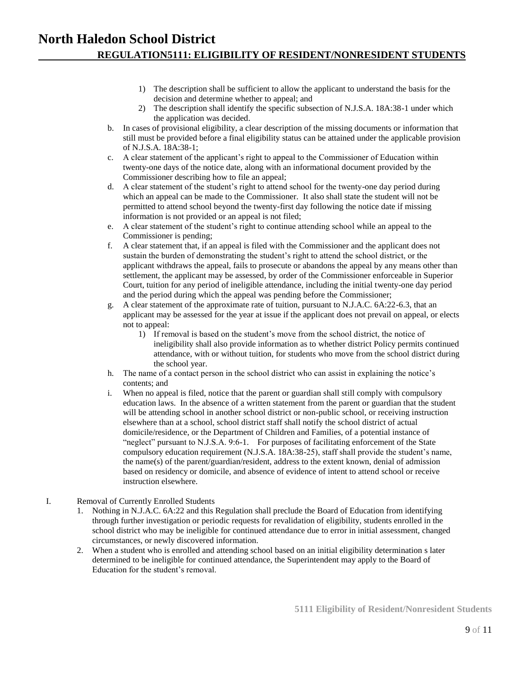- 1) The description shall be sufficient to allow the applicant to understand the basis for the decision and determine whether to appeal; and
- 2) The description shall identify the specific subsection of N.J.S.A. 18A:38-1 under which the application was decided.
- b. In cases of provisional eligibility, a clear description of the missing documents or information that still must be provided before a final eligibility status can be attained under the applicable provision of N.J.S.A. 18A:38-1;
- c. A clear statement of the applicant's right to appeal to the Commissioner of Education within twenty-one days of the notice date, along with an informational document provided by the Commissioner describing how to file an appeal;
- d. A clear statement of the student's right to attend school for the twenty-one day period during which an appeal can be made to the Commissioner. It also shall state the student will not be permitted to attend school beyond the twenty-first day following the notice date if missing information is not provided or an appeal is not filed;
- e. A clear statement of the student's right to continue attending school while an appeal to the Commissioner is pending;
- f. A clear statement that, if an appeal is filed with the Commissioner and the applicant does not sustain the burden of demonstrating the student's right to attend the school district, or the applicant withdraws the appeal, fails to prosecute or abandons the appeal by any means other than settlement, the applicant may be assessed, by order of the Commissioner enforceable in Superior Court, tuition for any period of ineligible attendance, including the initial twenty-one day period and the period during which the appeal was pending before the Commissioner;
- g. A clear statement of the approximate rate of tuition, pursuant to N.J.A.C. 6A:22-6.3, that an applicant may be assessed for the year at issue if the applicant does not prevail on appeal, or elects not to appeal:
	- 1) If removal is based on the student's move from the school district, the notice of ineligibility shall also provide information as to whether district Policy permits continued attendance, with or without tuition, for students who move from the school district during the school year.
- h. The name of a contact person in the school district who can assist in explaining the notice's contents; and
- i. When no appeal is filed, notice that the parent or guardian shall still comply with compulsory education laws. In the absence of a written statement from the parent or guardian that the student will be attending school in another school district or non-public school, or receiving instruction elsewhere than at a school, school district staff shall notify the school district of actual domicile/residence, or the Department of Children and Families, of a potential instance of "neglect" pursuant to N.J.S.A. 9:6-1. For purposes of facilitating enforcement of the State compulsory education requirement (N.J.S.A. 18A:38-25), staff shall provide the student's name, the name(s) of the parent/guardian/resident, address to the extent known, denial of admission based on residency or domicile, and absence of evidence of intent to attend school or receive instruction elsewhere.
- I. Removal of Currently Enrolled Students
	- 1. Nothing in N.J.A.C. 6A:22 and this Regulation shall preclude the Board of Education from identifying through further investigation or periodic requests for revalidation of eligibility, students enrolled in the school district who may be ineligible for continued attendance due to error in initial assessment, changed circumstances, or newly discovered information.
	- 2. When a student who is enrolled and attending school based on an initial eligibility determination s later determined to be ineligible for continued attendance, the Superintendent may apply to the Board of Education for the student's removal.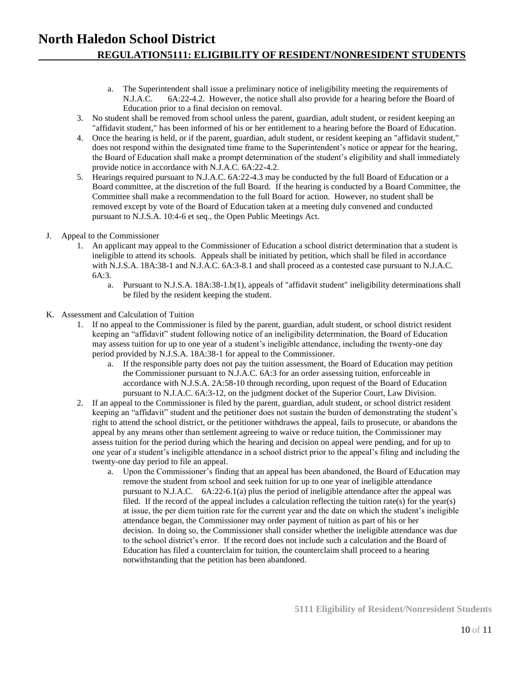- a. The Superintendent shall issue a preliminary notice of ineligibility meeting the requirements of N.J.A.C. 6A:22-4.2. However, the notice shall also provide for a hearing before the Board of Education prior to a final decision on removal.
- 3. No student shall be removed from school unless the parent, guardian, adult student, or resident keeping an "affidavit student," has been informed of his or her entitlement to a hearing before the Board of Education.
- 4. Once the hearing is held, or if the parent, guardian, adult student, or resident keeping an "affidavit student," does not respond within the designated time frame to the Superintendent's notice or appear for the hearing, the Board of Education shall make a prompt determination of the student's eligibility and shall immediately provide notice in accordance with N.J.A.C. 6A:22-4.2.
- 5. Hearings required pursuant to N.J.A.C. 6A:22-4.3 may be conducted by the full Board of Education or a Board committee, at the discretion of the full Board. If the hearing is conducted by a Board Committee, the Committee shall make a recommendation to the full Board for action. However, no student shall be removed except by vote of the Board of Education taken at a meeting duly convened and conducted pursuant to N.J.S.A. 10:4-6 et seq., the Open Public Meetings Act.
- J. Appeal to the Commissioner
	- 1. An applicant may appeal to the Commissioner of Education a school district determination that a student is ineligible to attend its schools. Appeals shall be initiated by petition, which shall be filed in accordance with N.J.S.A. 18A:38-1 and N.J.A.C. 6A:3-8.1 and shall proceed as a contested case pursuant to N.J.A.C. 6A:3.
		- a. Pursuant to N.J.S.A. 18A:38-1.b(1), appeals of "affidavit student" ineligibility determinations shall be filed by the resident keeping the student.
- K. Assessment and Calculation of Tuition
	- 1. If no appeal to the Commissioner is filed by the parent, guardian, adult student, or school district resident keeping an "affidavit" student following notice of an ineligibility determination, the Board of Education may assess tuition for up to one year of a student's ineligible attendance, including the twenty-one day period provided by N.J.S.A. 18A:38-1 for appeal to the Commissioner.
		- a. If the responsible party does not pay the tuition assessment, the Board of Education may petition the Commissioner pursuant to N.J.A.C. 6A:3 for an order assessing tuition, enforceable in accordance with N.J.S.A. 2A:58-10 through recording, upon request of the Board of Education pursuant to N.J.A.C. 6A:3-12, on the judgment docket of the Superior Court, Law Division.
	- 2. If an appeal to the Commissioner is filed by the parent, guardian, adult student, or school district resident keeping an "affidavit" student and the petitioner does not sustain the burden of demonstrating the student's right to attend the school district, or the petitioner withdraws the appeal, fails to prosecute, or abandons the appeal by any means other than settlement agreeing to waive or reduce tuition, the Commissioner may assess tuition for the period during which the hearing and decision on appeal were pending, and for up to one year of a student's ineligible attendance in a school district prior to the appeal's filing and including the twenty-one day period to file an appeal.
		- a. Upon the Commissioner's finding that an appeal has been abandoned, the Board of Education may remove the student from school and seek tuition for up to one year of ineligible attendance pursuant to N.J.A.C. 6A:22-6.1(a) plus the period of ineligible attendance after the appeal was filed. If the record of the appeal includes a calculation reflecting the tuition rate(s) for the year(s) at issue, the per diem tuition rate for the current year and the date on which the student's ineligible attendance began, the Commissioner may order payment of tuition as part of his or her decision. In doing so, the Commissioner shall consider whether the ineligible attendance was due to the school district's error. If the record does not include such a calculation and the Board of Education has filed a counterclaim for tuition, the counterclaim shall proceed to a hearing notwithstanding that the petition has been abandoned.